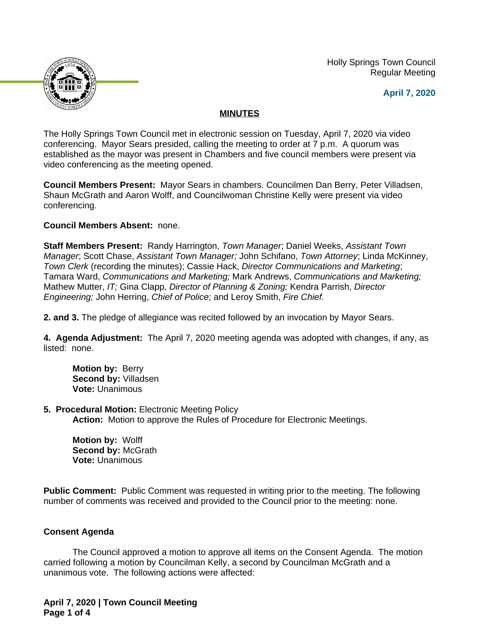Holly Springs Town Council Regular Meeting





# **MINUTES**

The Holly Springs Town Council met in electronic session on Tuesday, April 7, 2020 via video conferencing. Mayor Sears presided, calling the meeting to order at 7 p.m. A quorum was established as the mayor was present in Chambers and five council members were present via video conferencing as the meeting opened.

**Council Members Present:** Mayor Sears in chambers. Councilmen Dan Berry, Peter Villadsen, Shaun McGrath and Aaron Wolff, and Councilwoman Christine Kelly were present via video conferencing.

# **Council Members Absent:** none.

**Staff Members Present:** Randy Harrington, *Town Manager*; Daniel Weeks, *Assistant Town Manager*; Scott Chase, *Assistant Town Manager;* John Schifano, *Town Attorney*; Linda McKinney, *Town Clerk* (recording the minutes); Cassie Hack, *Director Communications and Marketing*; Tamara Ward, *Communications and Marketing;* Mark Andrews, *Communications and Marketing;* Mathew Mutter, *IT;* Gina Clapp*, Director of Planning & Zoning;* Kendra Parrish, *Director Engineering;* John Herring, *Chief of Police*; and Leroy Smith, *Fire Chief.*

**2. and 3.** The pledge of allegiance was recited followed by an invocation by Mayor Sears.

**4. Agenda Adjustment:** The April 7, 2020 meeting agenda was adopted with changes, if any, as listed: none.

**Motion by:** Berry **Second by:** Villadsen **Vote:** Unanimous

# **5. Procedural Motion:** Electronic Meeting Policy

**Action:** Motion to approve the Rules of Procedure for Electronic Meetings.

**Motion by:** Wolff **Second by:** McGrath **Vote:** Unanimous

**Public Comment:** Public Comment was requested in writing prior to the meeting. The following number of comments was received and provided to the Council prior to the meeting: none.

# **Consent Agenda**

The Council approved a motion to approve all items on the Consent Agenda. The motion carried following a motion by Councilman Kelly, a second by Councilman McGrath and a unanimous vote. The following actions were affected:

**April 7, 2020 | Town Council Meeting Page 1 of 4**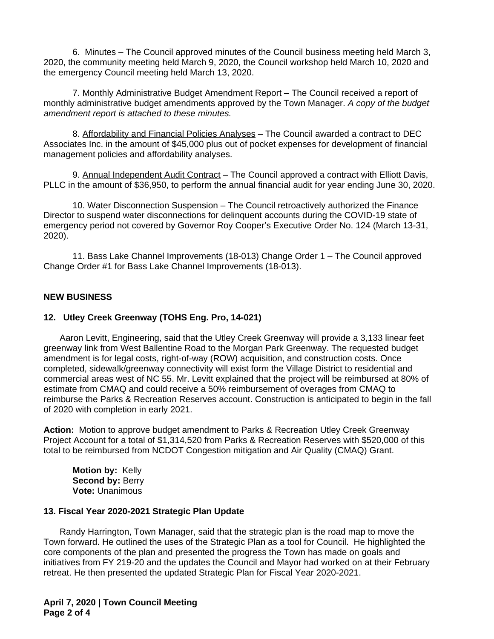6. Minutes – The Council approved minutes of the Council business meeting held March 3, 2020, the community meeting held March 9, 2020, the Council workshop held March 10, 2020 and the emergency Council meeting held March 13, 2020.

7. Monthly Administrative Budget Amendment Report - The Council received a report of monthly administrative budget amendments approved by the Town Manager. *A copy of the budget amendment report is attached to these minutes.*

8. Affordability and Financial Policies Analyses – The Council awarded a contract to DEC Associates Inc. in the amount of \$45,000 plus out of pocket expenses for development of financial management policies and affordability analyses.

9. Annual Independent Audit Contract - The Council approved a contract with Elliott Davis, PLLC in the amount of \$36,950, to perform the annual financial audit for year ending June 30, 2020.

10. Water Disconnection Suspension – The Council retroactively authorized the Finance Director to suspend water disconnections for delinquent accounts during the COVID-19 state of emergency period not covered by Governor Roy Cooper's Executive Order No. 124 (March 13-31, 2020).

11. Bass Lake Channel Improvements (18-013) Change Order 1 – The Council approved Change Order #1 for Bass Lake Channel Improvements (18-013).

## **NEW BUSINESS**

## **12. Utley Creek Greenway (TOHS Eng. Pro, 14-021)**

Aaron Levitt, Engineering, said that the Utley Creek Greenway will provide a 3,133 linear feet greenway link from West Ballentine Road to the Morgan Park Greenway. The requested budget amendment is for legal costs, right-of-way (ROW) acquisition, and construction costs. Once completed, sidewalk/greenway connectivity will exist form the Village District to residential and commercial areas west of NC 55. Mr. Levitt explained that the project will be reimbursed at 80% of estimate from CMAQ and could receive a 50% reimbursement of overages from CMAQ to reimburse the Parks & Recreation Reserves account. Construction is anticipated to begin in the fall of 2020 with completion in early 2021.

**Action:** Motion to approve budget amendment to Parks & Recreation Utley Creek Greenway Project Account for a total of \$1,314,520 from Parks & Recreation Reserves with \$520,000 of this total to be reimbursed from NCDOT Congestion mitigation and Air Quality (CMAQ) Grant.

**Motion by:** Kelly **Second by: Berry Vote:** Unanimous

#### **13. Fiscal Year 2020-2021 Strategic Plan Update**

Randy Harrington, Town Manager, said that the strategic plan is the road map to move the Town forward. He outlined the uses of the Strategic Plan as a tool for Council. He highlighted the core components of the plan and presented the progress the Town has made on goals and initiatives from FY 219-20 and the updates the Council and Mayor had worked on at their February retreat. He then presented the updated Strategic Plan for Fiscal Year 2020-2021.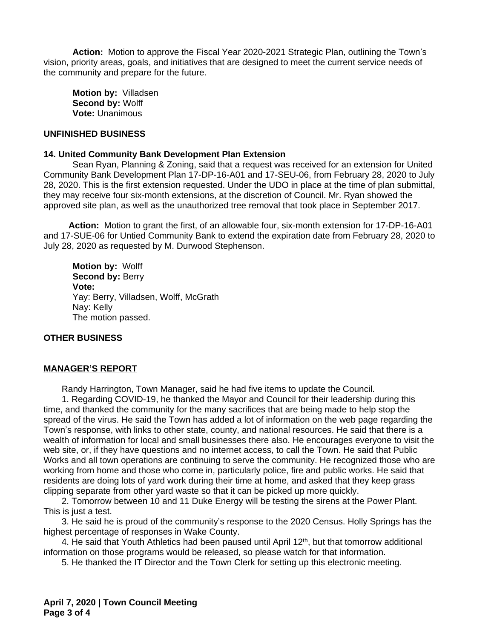**Action:** Motion to approve the Fiscal Year 2020-2021 Strategic Plan, outlining the Town's vision, priority areas, goals, and initiatives that are designed to meet the current service needs of the community and prepare for the future.

**Motion by:** Villadsen **Second by:** Wolff **Vote:** Unanimous

## **UNFINISHED BUSINESS**

#### **14. United Community Bank Development Plan Extension**

Sean Ryan, Planning & Zoning, said that a request was received for an extension for United Community Bank Development Plan 17-DP-16-A01 and 17-SEU-06, from February 28, 2020 to July 28, 2020. This is the first extension requested. Under the UDO in place at the time of plan submittal, they may receive four six-month extensions, at the discretion of Council. Mr. Ryan showed the approved site plan, as well as the unauthorized tree removal that took place in September 2017.

 **Action:** Motion to grant the first, of an allowable four, six-month extension for 17-DP-16-A01 and 17-SUE-06 for Untied Community Bank to extend the expiration date from February 28, 2020 to July 28, 2020 as requested by M. Durwood Stephenson.

**Motion by:** Wolff Second by: Berry **Vote:** Yay: Berry, Villadsen, Wolff, McGrath Nay: Kelly The motion passed.

## **OTHER BUSINESS**

## **MANAGER'S REPORT**

Randy Harrington, Town Manager, said he had five items to update the Council.

1. Regarding COVID-19, he thanked the Mayor and Council for their leadership during this time, and thanked the community for the many sacrifices that are being made to help stop the spread of the virus. He said the Town has added a lot of information on the web page regarding the Town's response, with links to other state, county, and national resources. He said that there is a wealth of information for local and small businesses there also. He encourages everyone to visit the web site, or, if they have questions and no internet access, to call the Town. He said that Public Works and all town operations are continuing to serve the community. He recognized those who are working from home and those who come in, particularly police, fire and public works. He said that residents are doing lots of yard work during their time at home, and asked that they keep grass clipping separate from other yard waste so that it can be picked up more quickly.

2. Tomorrow between 10 and 11 Duke Energy will be testing the sirens at the Power Plant. This is just a test.

3. He said he is proud of the community's response to the 2020 Census. Holly Springs has the highest percentage of responses in Wake County.

4. He said that Youth Athletics had been paused until April  $12<sup>th</sup>$ , but that tomorrow additional information on those programs would be released, so please watch for that information.

5. He thanked the IT Director and the Town Clerk for setting up this electronic meeting.

**April 7, 2020 | Town Council Meeting Page 3 of 4**